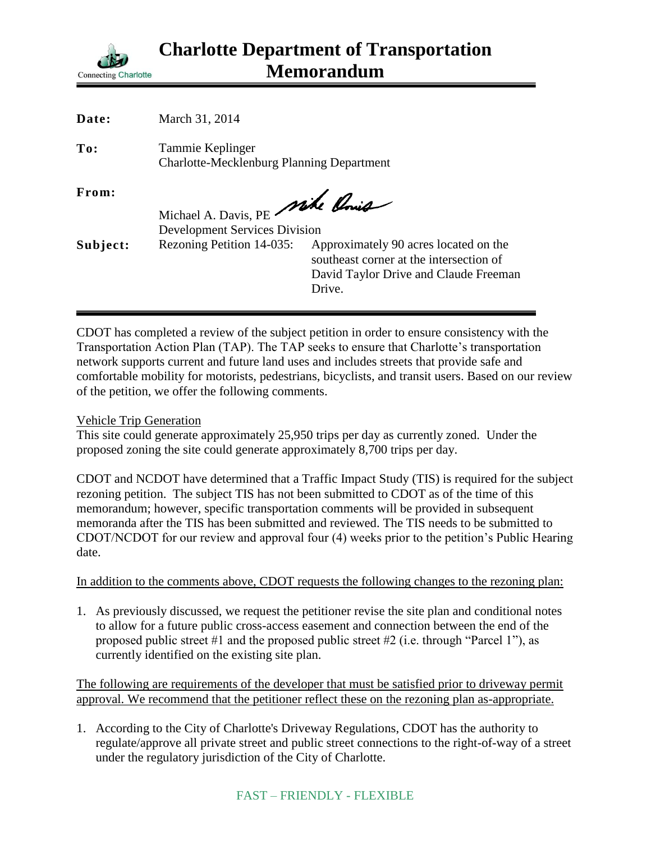

| Date:    | March 31, 2014                                                          |                                                                                                                                     |
|----------|-------------------------------------------------------------------------|-------------------------------------------------------------------------------------------------------------------------------------|
| To:      | Tammie Keplinger<br><b>Charlotte-Mecklenburg Planning Department</b>    |                                                                                                                                     |
| From:    | Michael A. Davis, PE mile Point<br><b>Development Services Division</b> |                                                                                                                                     |
| Subject: | Rezoning Petition 14-035:                                               | Approximately 90 acres located on the<br>southeast corner at the intersection of<br>David Taylor Drive and Claude Freeman<br>Drive. |

CDOT has completed a review of the subject petition in order to ensure consistency with the Transportation Action Plan (TAP). The TAP seeks to ensure that Charlotte's transportation network supports current and future land uses and includes streets that provide safe and comfortable mobility for motorists, pedestrians, bicyclists, and transit users. Based on our review of the petition, we offer the following comments.

## Vehicle Trip Generation

This site could generate approximately 25,950 trips per day as currently zoned. Under the proposed zoning the site could generate approximately 8,700 trips per day.

CDOT and NCDOT have determined that a Traffic Impact Study (TIS) is required for the subject rezoning petition. The subject TIS has not been submitted to CDOT as of the time of this memorandum; however, specific transportation comments will be provided in subsequent memoranda after the TIS has been submitted and reviewed. The TIS needs to be submitted to CDOT/NCDOT for our review and approval four (4) weeks prior to the petition's Public Hearing date.

In addition to the comments above, CDOT requests the following changes to the rezoning plan:

1. As previously discussed, we request the petitioner revise the site plan and conditional notes to allow for a future public cross-access easement and connection between the end of the proposed public street #1 and the proposed public street #2 (i.e. through "Parcel 1"), as currently identified on the existing site plan.

The following are requirements of the developer that must be satisfied prior to driveway permit approval. We recommend that the petitioner reflect these on the rezoning plan as-appropriate.

1. According to the City of Charlotte's Driveway Regulations, CDOT has the authority to regulate/approve all private street and public street connections to the right-of-way of a street under the regulatory jurisdiction of the City of Charlotte.